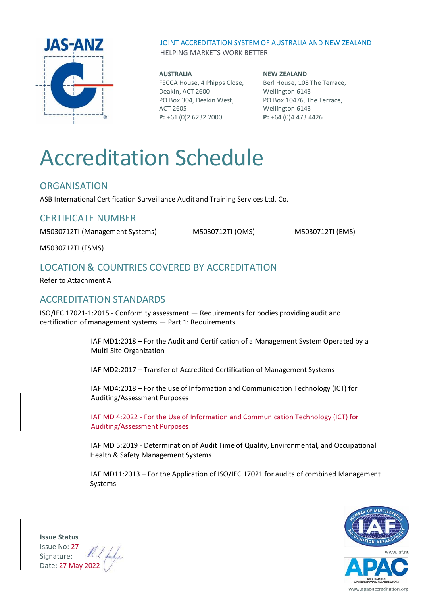

JOINT ACCREDITATION SYSTEM OF AUSTRALIA AND NEW ZEALAND HELPING MARKETS WORK BETTER

**AUSTRALIA** FECCA House, 4 Phipps Close, Deakin, ACT 2600 PO Box 304, Deakin West, ACT 2605 **P:** +61 (0)2 6232 2000

**NEW ZEALAND** Berl House, 108 The Terrace, Wellington 6143 PO Box 10476, The Terrace, Wellington 6143 **P:** +64 (0)4 473 4426

# Accreditation Schedule

### **ORGANISATION**

ASB International Certification Surveillance Audit and Training Services Ltd. Co.

## CERTIFICATE NUMBER

M5030712TI (Management Systems) M5030712TI (QMS) M5030712TI (EMS)

M5030712TI (FSMS)

# LOCATION & COUNTRIES COVERED BY ACCREDITATION

Refer to Attachment A

# ACCREDITATION STANDARDS

ISO/IEC 17021-1:2015 - Conformity assessment — Requirements for bodies providing audit and certification of management systems — Part 1: Requirements

> IAF MD1:2018 – For the Audit and Certification of a Management System Operated by a Multi-Site Organization

IAF MD2:2017 – Transfer of Accredited Certification of Management Systems

IAF MD4:2018 – For the use of Information and Communication Technology (ICT) for Auditing/Assessment Purposes

IAF MD 4:2022 - For the Use of Information and Communication Technology (ICT) for Auditing/Assessment Purposes

IAF MD 5:2019 - Determination of Audit Time of Quality, Environmental, and Occupational Health & Safety Management Systems

IAF MD11:2013 – For the Application of ISO/IEC 17021 for audits of combined Management Systems





**Issue Status** Issue No: 27 Signature: Date: 27 May 2022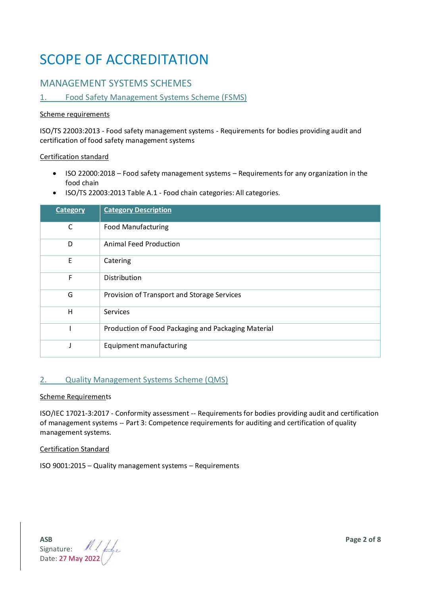# SCOPE OF ACCREDITATION

# MANAGEMENT SYSTEMS SCHEMES

#### 1. Food Safety Management Systems Scheme (FSMS)

#### Scheme requirements

ISO/TS 22003:2013 - Food safety management systems - Requirements for bodies providing audit and certification of food safety management systems

#### Certification standard

- ISO 22000:2018 Food safety management systems Requirements for any organization in the food chain
- ISO/TS 22003:2013 Table A.1 Food chain categories: All categories.

| <b>Category</b>          | <b>Category Description</b>                         |
|--------------------------|-----------------------------------------------------|
| C                        | <b>Food Manufacturing</b>                           |
| D                        | <b>Animal Feed Production</b>                       |
| E                        | Catering                                            |
| F                        | Distribution                                        |
| G                        | Provision of Transport and Storage Services         |
| H                        | Services                                            |
|                          | Production of Food Packaging and Packaging Material |
| $\overline{\phantom{a}}$ | Equipment manufacturing                             |

#### 2. Quality Management Systems Scheme (QMS)

#### Scheme Requirements

ISO/IEC 17021-3:2017 - Conformity assessment -- Requirements for bodies providing audit and certification of management systems -- Part 3: Competence requirements for auditing and certification of quality management systems.

#### Certification Standard

ISO 9001:2015 – Quality management systems – Requirements

**ASB Page 2 of 8** Signature: Date: 27 May 2022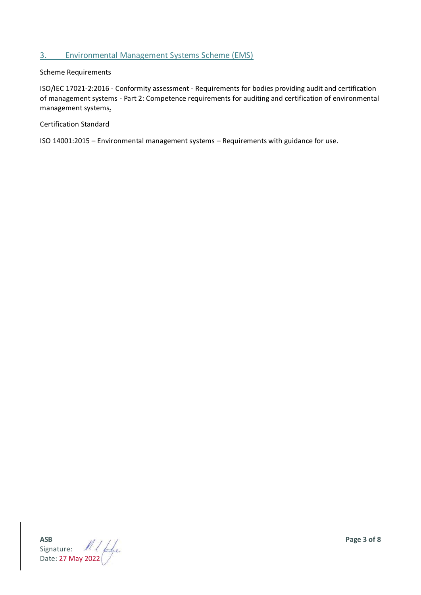#### 3. Environmental Management Systems Scheme (EMS)

#### Scheme Requirements

ISO/IEC 17021-2:2016 - Conformity assessment - Requirements for bodies providing audit and certification of management systems - Part 2: Competence requirements for auditing and certification of environmental management systems**.**

#### Certification Standard

ISO 14001:2015 – Environmental management systems – Requirements with guidance for use.

**ASB Page 3 of 8** Signature: Date: 27 May 2022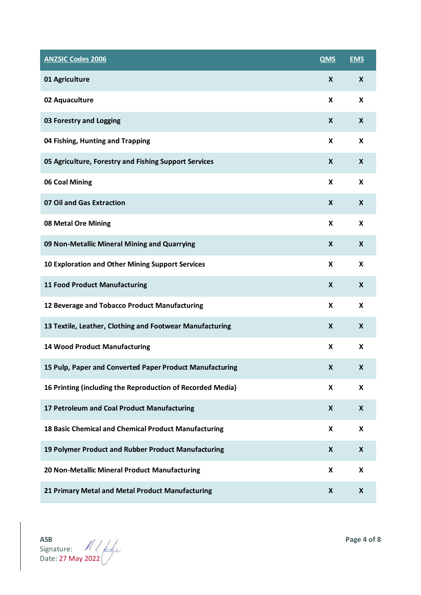| <b>ANZSIC Codes 2006</b>                                   | <b>QMS</b>                | <b>EMS</b>         |
|------------------------------------------------------------|---------------------------|--------------------|
| 01 Agriculture                                             | X                         | X                  |
| 02 Aquaculture                                             | X                         | X                  |
| 03 Forestry and Logging                                    | $\boldsymbol{\mathsf{x}}$ | $\boldsymbol{X}$   |
| 04 Fishing, Hunting and Trapping                           | X                         | X                  |
| 05 Agriculture, Forestry and Fishing Support Services      | X                         | $\boldsymbol{X}$   |
| 06 Coal Mining                                             | X                         | X                  |
| 07 Oil and Gas Extraction                                  | X                         | $\boldsymbol{X}$   |
| 08 Metal Ore Mining                                        | X                         | X                  |
| 09 Non-Metallic Mineral Mining and Quarrying               | X                         | $\boldsymbol{X}$   |
| 10 Exploration and Other Mining Support Services           | X                         | X                  |
| <b>11 Food Product Manufacturing</b>                       | X                         | X                  |
| 12 Beverage and Tobacco Product Manufacturing              | X                         | X                  |
| 13 Textile, Leather, Clothing and Footwear Manufacturing   | X                         | $\mathbf{x}$       |
| <b>14 Wood Product Manufacturing</b>                       | X                         | X                  |
| 15 Pulp, Paper and Converted Paper Product Manufacturing   | $\mathsf{X}$              | X                  |
| 16 Printing (including the Reproduction of Recorded Media) | X                         | $\pmb{\mathsf{X}}$ |
| 17 Petroleum and Coal Product Manufacturing                | X                         | $\boldsymbol{x}$   |
| 18 Basic Chemical and Chemical Product Manufacturing       | X                         | $\pmb{\mathsf{X}}$ |
| 19 Polymer Product and Rubber Product Manufacturing        | $\boldsymbol{X}$          | $\boldsymbol{x}$   |
| 20 Non-Metallic Mineral Product Manufacturing              | X                         | X                  |
| 21 Primary Metal and Metal Product Manufacturing           | X                         | X                  |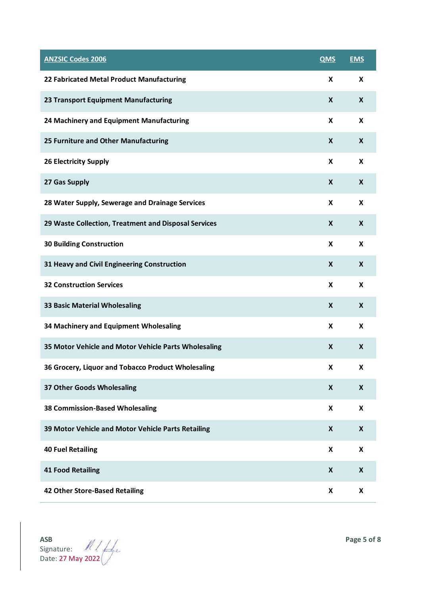| <b>ANZSIC Codes 2006</b>                             | <b>QMS</b>                | <b>EMS</b>                |
|------------------------------------------------------|---------------------------|---------------------------|
| 22 Fabricated Metal Product Manufacturing            | X                         | X                         |
| 23 Transport Equipment Manufacturing                 | X                         | $\boldsymbol{X}$          |
| 24 Machinery and Equipment Manufacturing             | X                         | X                         |
| 25 Furniture and Other Manufacturing                 | X                         | X                         |
| <b>26 Electricity Supply</b>                         | X                         | X                         |
| 27 Gas Supply                                        | $\boldsymbol{X}$          | $\mathbf{x}$              |
| 28 Water Supply, Sewerage and Drainage Services      | $\boldsymbol{\mathsf{x}}$ | X                         |
| 29 Waste Collection, Treatment and Disposal Services | X                         | $\mathbf{x}$              |
| <b>30 Building Construction</b>                      | X                         | X                         |
| 31 Heavy and Civil Engineering Construction          | $\boldsymbol{\mathsf{x}}$ | $\boldsymbol{X}$          |
| <b>32 Construction Services</b>                      | X                         | X                         |
| <b>33 Basic Material Wholesaling</b>                 | X                         | $\boldsymbol{x}$          |
| 34 Machinery and Equipment Wholesaling               | X                         | X                         |
| 35 Motor Vehicle and Motor Vehicle Parts Wholesaling | $\boldsymbol{\mathsf{x}}$ | $\boldsymbol{X}$          |
| 36 Grocery, Liquor and Tobacco Product Wholesaling   | X                         | X                         |
| 37 Other Goods Wholesaling                           | X                         | $\pmb{\mathsf{X}}$        |
| <b>38 Commission-Based Wholesaling</b>               | X                         | X                         |
| 39 Motor Vehicle and Motor Vehicle Parts Retailing   | $\boldsymbol{\mathsf{X}}$ | $\boldsymbol{x}$          |
| <b>40 Fuel Retailing</b>                             | X                         | $\boldsymbol{\mathsf{X}}$ |
| <b>41 Food Retailing</b>                             | X                         | $\boldsymbol{x}$          |
| 42 Other Store-Based Retailing                       | X                         | X                         |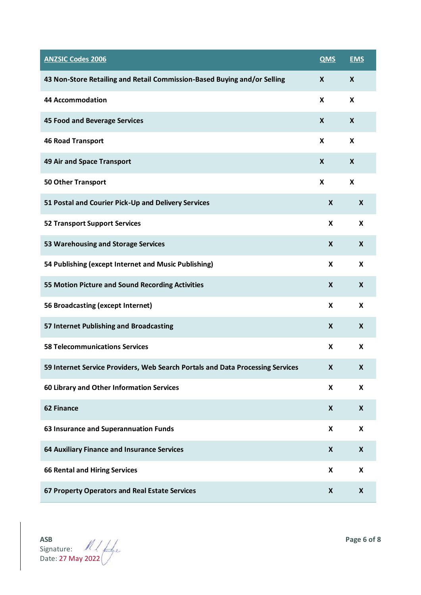| <b>ANZSIC Codes 2006</b>                                                       | <b>QMS</b>                | <b>EMS</b>                |
|--------------------------------------------------------------------------------|---------------------------|---------------------------|
| 43 Non-Store Retailing and Retail Commission-Based Buying and/or Selling       | X                         | X                         |
| <b>44 Accommodation</b>                                                        | X                         | X                         |
| 45 Food and Beverage Services                                                  | X                         | $\boldsymbol{X}$          |
| <b>46 Road Transport</b>                                                       | X                         | X                         |
| 49 Air and Space Transport                                                     | X                         | X                         |
| <b>50 Other Transport</b>                                                      | X                         | X                         |
| 51 Postal and Courier Pick-Up and Delivery Services                            | $\boldsymbol{X}$          | $\boldsymbol{\mathsf{X}}$ |
| <b>52 Transport Support Services</b>                                           | X                         | $\mathbf{x}$              |
| 53 Warehousing and Storage Services                                            | X                         | $\boldsymbol{X}$          |
| 54 Publishing (except Internet and Music Publishing)                           | X                         | X                         |
| 55 Motion Picture and Sound Recording Activities                               | X                         | $\mathbf{x}$              |
| 56 Broadcasting (except Internet)                                              | X                         | X                         |
| 57 Internet Publishing and Broadcasting                                        | X                         | $\boldsymbol{X}$          |
| <b>58 Telecommunications Services</b>                                          | X                         | X                         |
| 59 Internet Service Providers, Web Search Portals and Data Processing Services |                           | X                         |
| 60 Library and Other Information Services                                      | $\boldsymbol{\mathsf{x}}$ | $\boldsymbol{\mathsf{X}}$ |
| <b>62 Finance</b>                                                              | X                         | $\boldsymbol{X}$          |
| 63 Insurance and Superannuation Funds                                          | X                         | $\boldsymbol{\mathsf{X}}$ |
| 64 Auxiliary Finance and Insurance Services                                    | $\boldsymbol{X}$          | $\boldsymbol{X}$          |
| <b>66 Rental and Hiring Services</b>                                           | X                         | X                         |
| 67 Property Operators and Real Estate Services                                 | X                         | X                         |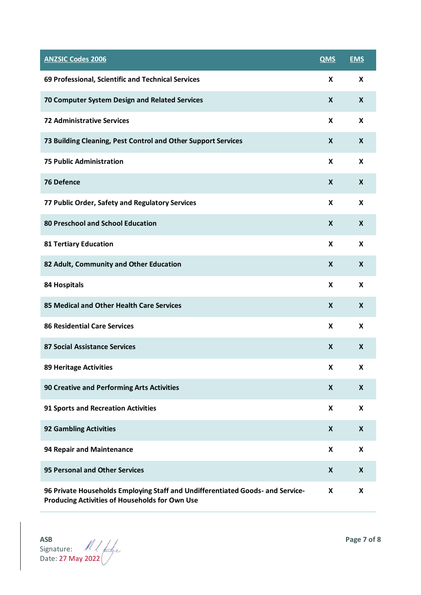| <b>ANZSIC Codes 2006</b>                                                                                                         | <b>QMS</b>                | <b>EMS</b>                |
|----------------------------------------------------------------------------------------------------------------------------------|---------------------------|---------------------------|
| 69 Professional, Scientific and Technical Services                                                                               | X                         | X                         |
| 70 Computer System Design and Related Services                                                                                   |                           | $\mathbf{x}$              |
| <b>72 Administrative Services</b>                                                                                                | X                         | X                         |
| 73 Building Cleaning, Pest Control and Other Support Services                                                                    | X                         | X                         |
| <b>75 Public Administration</b>                                                                                                  | X                         | X                         |
| 76 Defence                                                                                                                       | $\mathbf{x}$              | $\mathbf{x}$              |
| 77 Public Order, Safety and Regulatory Services                                                                                  | X                         | X                         |
| 80 Preschool and School Education                                                                                                | $\mathbf{x}$              | $\boldsymbol{X}$          |
| <b>81 Tertiary Education</b>                                                                                                     | X                         | X                         |
| 82 Adult, Community and Other Education                                                                                          | $\boldsymbol{x}$          | $\boldsymbol{X}$          |
| <b>84 Hospitals</b>                                                                                                              | X                         | X                         |
| 85 Medical and Other Health Care Services                                                                                        | X                         | X                         |
| <b>86 Residential Care Services</b>                                                                                              | X                         | X                         |
| <b>87 Social Assistance Services</b>                                                                                             | $\boldsymbol{\mathsf{x}}$ | $\boldsymbol{\mathsf{X}}$ |
| <b>89 Heritage Activities</b>                                                                                                    | X                         | X                         |
| 90 Creative and Performing Arts Activities                                                                                       | $\boldsymbol{x}$          | $\boldsymbol{X}$          |
| 91 Sports and Recreation Activities                                                                                              | X                         | X                         |
| <b>92 Gambling Activities</b>                                                                                                    | X                         | X                         |
| 94 Repair and Maintenance                                                                                                        | X                         | X                         |
| 95 Personal and Other Services                                                                                                   | X                         | $\boldsymbol{X}$          |
| 96 Private Households Employing Staff and Undifferentiated Goods- and Service-<br>Producing Activities of Households for Own Use |                           | X                         |